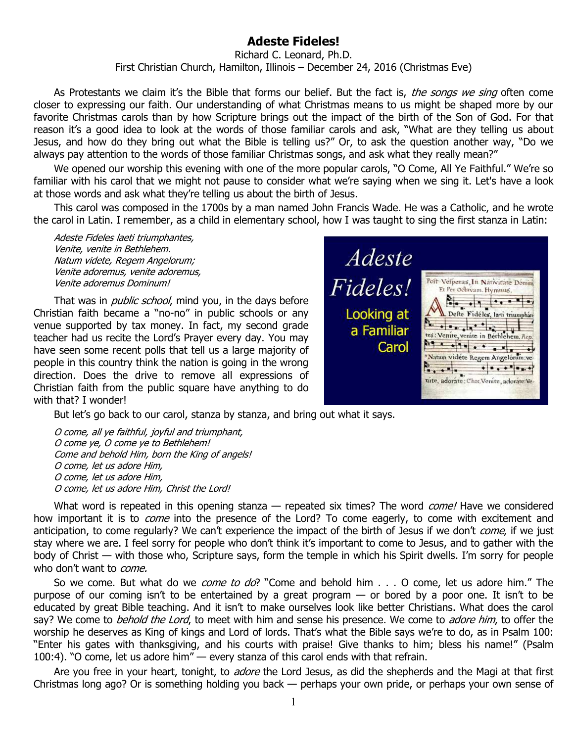## **Adeste Fideles!**

Richard C. Leonard, Ph.D. First Christian Church, Hamilton, Illinois – December 24, 2016 (Christmas Eve)

As Protestants we claim it's the Bible that forms our belief. But the fact is, the songs we sing often come closer to expressing our faith. Our understanding of what Christmas means to us might be shaped more by our favorite Christmas carols than by how Scripture brings out the impact of the birth of the Son of God. For that reason it's a good idea to look at the words of those familiar carols and ask, "What are they telling us about Jesus, and how do they bring out what the Bible is telling us?" Or, to ask the question another way, "Do we always pay attention to the words of those familiar Christmas songs, and ask what they really mean?"

We opened our worship this evening with one of the more popular carols, "O Come, All Ye Faithful." We're so familiar with his carol that we might not pause to consider what we're saying when we sing it. Let's have a look at those words and ask what they're telling us about the birth of Jesus.

This carol was composed in the 1700s by a man named John Francis Wade. He was a Catholic, and he wrote the carol in Latin. I remember, as a child in elementary school, how I was taught to sing the first stanza in Latin:

Adeste Fideles laeti triumphantes, Venite, venite in Bethlehem. Natum videte, Regem Angelorum; Venite adoremus, venite adoremus, Venite adoremus Dominum!

That was in *public school*, mind you, in the days before Christian faith became a "no-no" in public schools or any venue supported by tax money. In fact, my second grade teacher had us recite the Lord's Prayer every day. You may have seen some recent polls that tell us a large majority of people in this country think the nation is going in the wrong direction. Does the drive to remove all expressions of Christian faith from the public square have anything to do with that? I wonder!

Adeste Fideles! Pelt Vefperas In Nativitate Domini Et Per Ochvam. Hymnus.  $| \cdot \cdot \cdot |$  $\frac{2}{3}$  $\cdot$   $\cdot$ Looking at Deste Fidéles, la ti triumphan  $\frac{1}{2}$ a Familiar tes: Venite, venite in Bethlehem. Rep.  $\mathbf{a}$ Carol Natum vidéte Regem Angelorum:ve  $\mathbf{r}$ ,  $\mathbf{r}$ ,  $\mathbf{r}$ nite, adorate: Chor. Venite, adorate: Ve-

But let's go back to our carol, stanza by stanza, and bring out what it says.

O come, all ye faithful, joyful and triumphant, O come ye, O come ye to Bethlehem! Come and behold Him, born the King of angels! O come, let us adore Him, O come, let us adore Him, O come, let us adore Him, Christ the Lord!

What word is repeated in this opening stanza — repeated six times? The word *come!* Have we considered how important it is to *come* into the presence of the Lord? To come eagerly, to come with excitement and anticipation, to come regularly? We can't experience the impact of the birth of Jesus if we don't *come*, if we just stay where we are. I feel sorry for people who don't think it's important to come to Jesus, and to gather with the body of Christ — with those who, Scripture says, form the temple in which his Spirit dwells. I'm sorry for people who don't want to *come*.

So we come. But what do we *come to do*? "Come and behold him . . . O come, let us adore him." The purpose of our coming isn't to be entertained by a great program — or bored by a poor one. It isn't to be educated by great Bible teaching. And it isn't to make ourselves look like better Christians. What does the carol say? We come to *behold the Lord*, to meet with him and sense his presence. We come to *adore him*, to offer the worship he deserves as King of kings and Lord of lords. That's what the Bible says we're to do, as in Psalm 100: "Enter his gates with thanksgiving, and his courts with praise! Give thanks to him; bless his name!" (Psalm 100:4). "O come, let us adore him" — every stanza of this carol ends with that refrain.

Are you free in your heart, tonight, to *adore* the Lord Jesus, as did the shepherds and the Magi at that first Christmas long ago? Or is something holding you back — perhaps your own pride, or perhaps your own sense of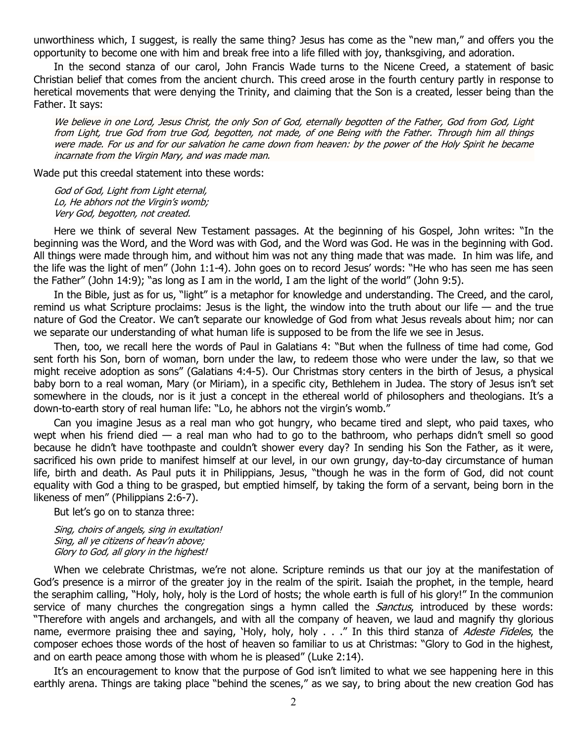unworthiness which, I suggest, is really the same thing? Jesus has come as the "new man," and offers you the opportunity to become one with him and break free into a life filled with joy, thanksgiving, and adoration.

In the second stanza of our carol, John Francis Wade turns to the Nicene Creed, a statement of basic Christian belief that comes from the ancient church. This creed arose in the fourth century partly in response to heretical movements that were denying the Trinity, and claiming that the Son is a created, lesser being than the Father. It says:

We believe in one Lord, Jesus Christ, the only Son of God, eternally begotten of the Father, God from God, Light from Light, true God from true God, begotten, not made, of one Being with the Father. Through him all things were made. For us and for our salvation he came down from heaven: by the power of the Holy Spirit he became incarnate from the Virgin Mary, and was made man.

Wade put this creedal statement into these words:

God of God, Light from Light eternal, Lo, He abhors not the Virgin's womb; Very God, begotten, not created.

Here we think of several New Testament passages. At the beginning of his Gospel, John writes: "In the beginning was the Word, and the Word was with God, and the Word was God. He was in the beginning with God. All things were made through him, and without him was not any thing made that was made. In him was life, and the life was the light of men" (John 1:1-4). John goes on to record Jesus' words: "He who has seen me has seen the Father" (John 14:9); "as long as I am in the world, I am the light of the world" (John 9:5).

In the Bible, just as for us, "light" is a metaphor for knowledge and understanding. The Creed, and the carol, remind us what Scripture proclaims: Jesus is the light, the window into the truth about our life  $-$  and the true nature of God the Creator. We can't separate our knowledge of God from what Jesus reveals about him; nor can we separate our understanding of what human life is supposed to be from the life we see in Jesus.

Then, too, we recall here the words of Paul in Galatians 4: "But when the fullness of time had come, God sent forth his Son, born of woman, born under the law, to redeem those who were under the law, so that we might receive adoption as sons" (Galatians 4:4-5). Our Christmas story centers in the birth of Jesus, a physical baby born to a real woman, Mary (or Miriam), in a specific city, Bethlehem in Judea. The story of Jesus isn't set somewhere in the clouds, nor is it just a concept in the ethereal world of philosophers and theologians. It's a down-to-earth story of real human life: "Lo, he abhors not the virgin's womb."

Can you imagine Jesus as a real man who got hungry, who became tired and slept, who paid taxes, who wept when his friend died — a real man who had to go to the bathroom, who perhaps didn't smell so good because he didn't have toothpaste and couldn't shower every day? In sending his Son the Father, as it were, sacrificed his own pride to manifest himself at our level, in our own grungy, day-to-day circumstance of human life, birth and death. As Paul puts it in Philippians, Jesus, "though he was in the form of God, did not count equality with God a thing to be grasped, but emptied himself, by taking the form of a servant, being born in the likeness of men" (Philippians 2:6-7).

But let's go on to stanza three:

Sing, choirs of angels, sing in exultation! Sing, all ye citizens of heav'n above; Glory to God, all glory in the highest!

When we celebrate Christmas, we're not alone. Scripture reminds us that our joy at the manifestation of God's presence is a mirror of the greater joy in the realm of the spirit. Isaiah the prophet, in the temple, heard the seraphim calling, "Holy, holy, holy is the Lord of hosts; the whole earth is full of his glory!" In the communion service of many churches the congregation sings a hymn called the *Sanctus*, introduced by these words: "Therefore with angels and archangels, and with all the company of heaven, we laud and magnify thy glorious name, evermore praising thee and saying, 'Holy, holy, holy . . ." In this third stanza of Adeste Fideles, the composer echoes those words of the host of heaven so familiar to us at Christmas: "Glory to God in the highest, and on earth peace among those with whom he is pleased" (Luke 2:14).

It's an encouragement to know that the purpose of God isn't limited to what we see happening here in this earthly arena. Things are taking place "behind the scenes," as we say, to bring about the new creation God has